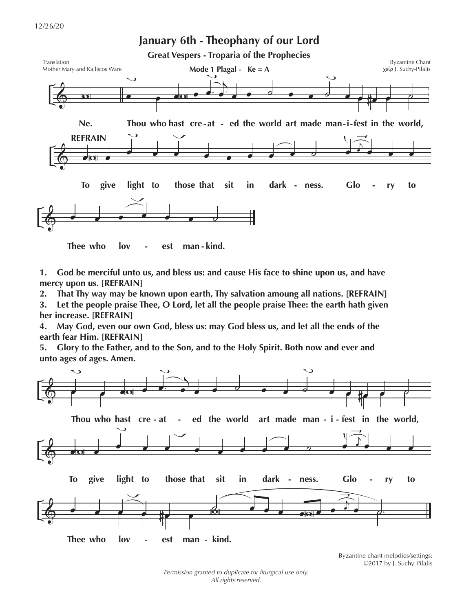

**Thee who lov - est man - kind.**

**1. God be merciful unto us, and bless us: and cause His face to shine upon us, and have mercy upon us. [REFRAIN]**

**2. That Thy way may be known upon earth, Thy salvation amoung all nations. [REFRAIN]**

**3. Let the people praise Thee, O Lord, let all the people praise Thee: the earth hath given her increase. [REFRAIN]**

**4. May God, even our own God, bless us: may God bless us, and let all the ends of the earth fear Him. [REFRAIN]**

**5. Glory to the Father, and to the Son, and to the Holy Spirit. Both now and ever and unto ages of ages. Amen.** 



Byzantine chant melodies/settings: ©2017 by J. Suchy-Pilalis